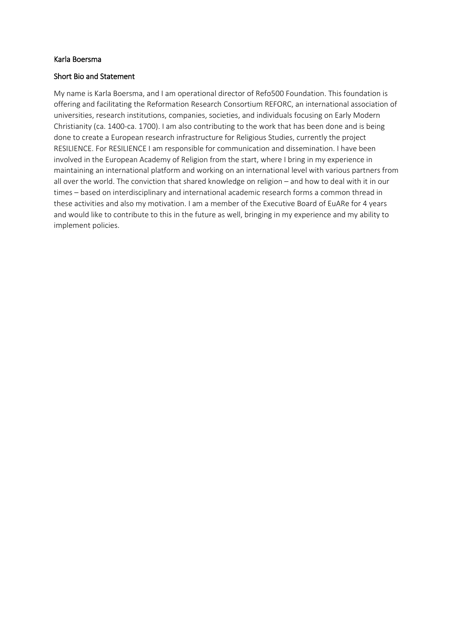## Karla Boersma

## Short Bio and Statement

My name is Karla Boersma, and I am operational director of Refo500 Foundation. This foundation is offering and facilitating the Reformation Research Consortium REFORC, an international association of universities, research institutions, companies, societies, and individuals focusing on Early Modern Christianity (ca. 1400-ca. 1700). I am also contributing to the work that has been done and is being done to create a European research infrastructure for Religious Studies, currently the project RESILIENCE. For RESILIENCE I am responsible for communication and dissemination. I have been involved in the European Academy of Religion from the start, where I bring in my experience in maintaining an international platform and working on an international level with various partners from all over the world. The conviction that shared knowledge on religion – and how to deal with it in our times – based on interdisciplinary and international academic research forms a common thread in these activities and also my motivation. I am a member of the Executive Board of EuARe for 4 years and would like to contribute to this in the future as well, bringing in my experience and my ability to implement policies.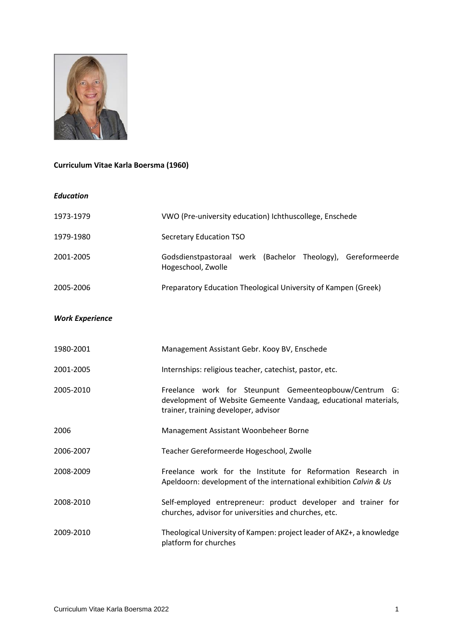

## **Curriculum Vitae Karla Boersma (1960)**

## *Education*

| 1973-1979              | VWO (Pre-university education) Ichthuscollege, Enschede                                                                                                           |
|------------------------|-------------------------------------------------------------------------------------------------------------------------------------------------------------------|
| 1979-1980              | <b>Secretary Education TSO</b>                                                                                                                                    |
| 2001-2005              | Godsdienstpastoraal werk (Bachelor Theology), Gereformeerde<br>Hogeschool, Zwolle                                                                                 |
| 2005-2006              | Preparatory Education Theological University of Kampen (Greek)                                                                                                    |
| <b>Work Experience</b> |                                                                                                                                                                   |
| 1980-2001              | Management Assistant Gebr. Kooy BV, Enschede                                                                                                                      |
| 2001-2005              | Internships: religious teacher, catechist, pastor, etc.                                                                                                           |
| 2005-2010              | Freelance work for Steunpunt Gemeenteopbouw/Centrum G:<br>development of Website Gemeente Vandaag, educational materials,<br>trainer, training developer, advisor |
| 2006                   | Management Assistant Woonbeheer Borne                                                                                                                             |
| 2006-2007              | Teacher Gereformeerde Hogeschool, Zwolle                                                                                                                          |
| 2008-2009              | Freelance work for the Institute for Reformation Research in<br>Apeldoorn: development of the international exhibition Calvin & Us                                |
| 2008-2010              | Self-employed entrepreneur: product developer and trainer for<br>churches, advisor for universities and churches, etc.                                            |
| 2009-2010              | Theological University of Kampen: project leader of AKZ+, a knowledge<br>platform for churches                                                                    |